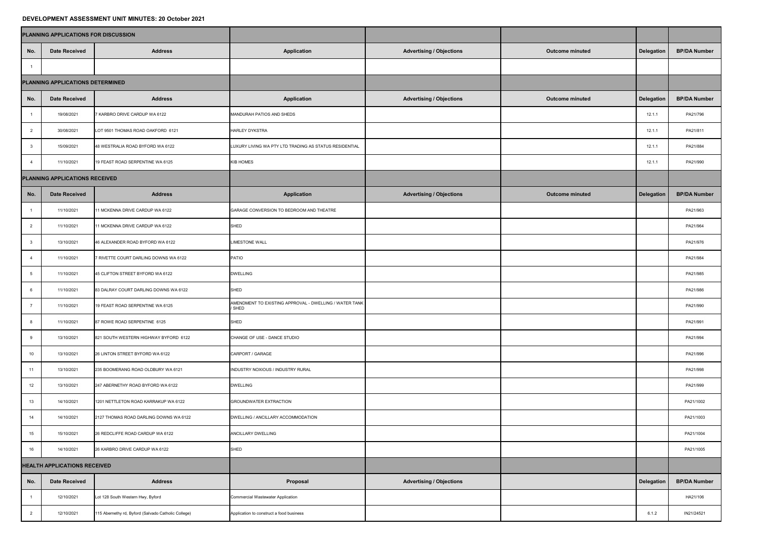## **DEVELOPMENT ASSESSMENT UNIT MINUTES: 20 October 2021**

| PLANNING APPLICATIONS FOR DISCUSSION |                      |                                                     |                                                                  |                                 |                        |                   |                     |
|--------------------------------------|----------------------|-----------------------------------------------------|------------------------------------------------------------------|---------------------------------|------------------------|-------------------|---------------------|
| No.                                  | <b>Date Received</b> | <b>Address</b>                                      | <b>Application</b>                                               | <b>Advertising / Objections</b> | <b>Outcome minuted</b> | <b>Delegation</b> | <b>BP/DA Number</b> |
|                                      |                      |                                                     |                                                                  |                                 |                        |                   |                     |
| PLANNING APPLICATIONS DETERMINED     |                      |                                                     |                                                                  |                                 |                        |                   |                     |
| No.                                  | <b>Date Received</b> | <b>Address</b>                                      | <b>Application</b>                                               | <b>Advertising / Objections</b> | <b>Outcome minuted</b> | <b>Delegation</b> | <b>BP/DA Number</b> |
|                                      | 19/08/2021           | 7 KARBRO DRIVE CARDUP WA 6122                       | MANDURAH PATIOS AND SHEDS                                        |                                 |                        | 12.1.1            | PA21/796            |
|                                      | 30/08/2021           | LOT 9501 THOMAS ROAD OAKFORD 6121                   | <b>HARLEY DYKSTRA</b>                                            |                                 |                        | 12.1.1            | PA21/811            |
| $\mathbf{3}$                         | 15/09/2021           | 48 WESTRALIA ROAD BYFORD WA 6122                    | LUXURY LIVING WA PTY LTD TRADING AS STATUS RESIDENTIAL           |                                 |                        | 12.1.1            | PA21/884            |
|                                      | 11/10/2021           | 19 FEAST ROAD SERPENTINE WA 6125                    | <b>KIB HOMES</b>                                                 |                                 |                        | 12.1.1            | PA21/990            |
| PLANNING APPLICATIONS RECEIVED       |                      |                                                     |                                                                  |                                 |                        |                   |                     |
| <u> Tanzania (</u><br>No.            | <b>Date Received</b> | <b>Address</b>                                      | <b>Application</b>                                               | <b>Advertising / Objections</b> | <b>Outcome minuted</b> | Delegation        | <b>BP/DA Number</b> |
|                                      | 11/10/2021           | 11 MCKENNA DRIVE CARDUP WA 6122                     | GARAGE CONVERSION TO BEDROOM AND THEATRE                         |                                 |                        |                   | PA21/963            |
| $\overline{2}$                       | 11/10/2021           | 11 MCKENNA DRIVE CARDUP WA 6122                     | SHED                                                             |                                 |                        |                   | PA21/964            |
| $\overline{\phantom{a}}$ 3           | 13/10/2021           | 46 ALEXANDER ROAD BYFORD WA 6122                    | <b>LIMESTONE WALL</b>                                            |                                 |                        |                   | PA21/976            |
| -4                                   | 11/10/2021           | 7 RIVETTE COURT DARLING DOWNS WA 6122               | PATIO                                                            |                                 |                        |                   | PA21/984            |
| - 5                                  | 11/10/2021           | 45 CLIFTON STREET BYFORD WA 6122                    | <b>DWELLING</b>                                                  |                                 |                        |                   | PA21/985            |
| -6                                   | 11/10/2021           | 83 DALRAY COURT DARLING DOWNS WA 6122               | SHED                                                             |                                 |                        |                   | PA21/986            |
|                                      | 11/10/2021           | 19 FEAST ROAD SERPENTINE WA 6125                    | AMENDMENT TO EXISTING APPROVAL - DWELLING / WATER TANK<br>/ SHED |                                 |                        |                   | PA21/990            |
| - 8                                  | 11/10/2021           | 87 ROWE ROAD SERPENTINE 6125                        | SHED                                                             |                                 |                        |                   | PA21/991            |
|                                      | 13/10/2021           | 821 SOUTH WESTERN HIGHWAY BYFORD 6122               | CHANGE OF USE - DANCE STUDIO                                     |                                 |                        |                   | PA21/994            |
| 10                                   | 13/10/2021           | 26 LINTON STREET BYFORD WA 6122                     | CARPORT / GARAGE                                                 |                                 |                        |                   | PA21/996            |
| 11                                   | 13/10/2021           | 235 BOOMERANG ROAD OLDBURY WA 6121                  | INDUSTRY NOXIOUS / INDUSTRY RURAL                                |                                 |                        |                   | PA21/998            |
| 12                                   | 13/10/2021           | 247 ABERNETHY ROAD BYFORD WA 6122                   | <b>DWELLING</b>                                                  |                                 |                        |                   | PA21/999            |
| 13                                   | 14/10/2021           | 1201 NETTLETON ROAD KARRAKUP WA 6122                | <b>GROUNDWATER EXTRACTION</b>                                    |                                 |                        |                   | PA21/1002           |
| 14                                   | 14/10/2021           | 2127 THOMAS ROAD DARLING DOWNS WA 6122              | DWELLING / ANCILLARY ACCOMMODATION                               |                                 |                        |                   | PA21/1003           |
| 15                                   | 15/10/2021           | 26 REDCLIFFE ROAD CARDUP WA 6122                    | ANCILLARY DWELLING                                               |                                 |                        |                   | PA21/1004           |
| 16                                   | 14/10/2021           | 26 KARBRO DRIVE CARDUP WA 6122                      | <b>SHED</b>                                                      |                                 |                        |                   | PA21/1005           |
| <b>HEALTH APPLICATIONS RECEIVED</b>  |                      |                                                     |                                                                  |                                 |                        |                   |                     |
| No.                                  | <b>Date Received</b> | <b>Address</b>                                      | Proposal                                                         | <b>Advertising / Objections</b> |                        | <b>Delegation</b> | <b>BP/DA Number</b> |
|                                      | 12/10/2021           | Lot 128 South Western Hwy, Byford                   | Commercial Wastewater Application                                |                                 |                        |                   | HA21/106            |
| $\overline{2}$                       | 12/10/2021           | 115 Abernethy rd, Byford (Salvado Catholic College) | Application to construct a food business                         |                                 |                        | 6.1.2             | IN21/24521          |